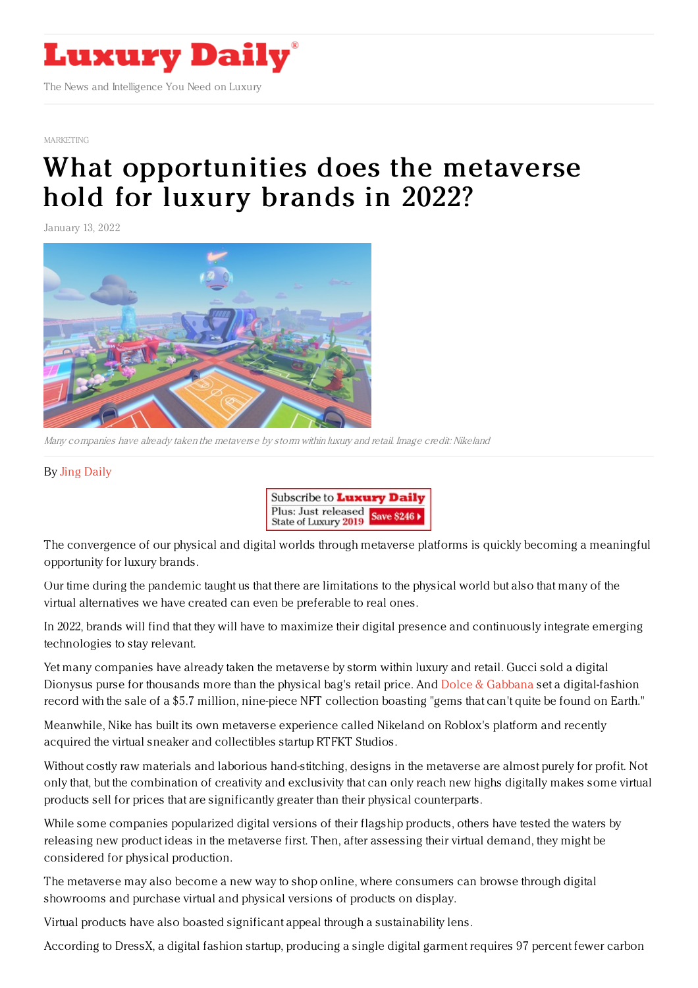

[MARKETING](https://www.luxurydaily.com/category/sectors/marketing-industry-sectors/)

## What [opportunities](https://www.luxurydaily.com/what-opportunities-does-the-metaverse-hold-for-luxury-brands-in-2022/) does the metaverse hold for luxury brands in 2022?

January 13, 2022



Many companies have already taken the metaverse by storm within luxury and retail. Image credit: Nikeland

## By Jing [Daily](https://jingdaily.com/author/admin/)



The convergence of our physical and digital worlds through metaverse platforms is quickly becoming a meaningful opportunity for luxury brands.

Our time during the pandemic taught us that there are limitations to the physical world but also that many of the virtual alternatives we have created can even be preferable to real ones.

In 2022, brands will find that they will have to maximize their digital presence and continuously integrate emerging technologies to stay relevant.

Yet many companies have already taken the metaverse by storm within luxury and retail. Gucci sold a digital Dionysus purse for thousands more than the physical bag's retail price. And Dolce & [Gabbana](https://jingdaily.com/dolce-and-gabbana-nfts-china/) set a digital-fashion record with the sale of a \$5.7 million, nine-piece NFT collection boasting "gems that can't quite be found on Earth."

Meanwhile, Nike has built its own metaverse experience called Nikeland on Roblox's platform and recently acquired the virtual sneaker and collectibles startup RTFKT Studios.

Without costly raw materials and laborious hand-stitching, designs in the metaverse are almost purely for profit. Not only that, but the combination of creativity and exclusivity that can only reach new highs digitally makes some virtual products sell for prices that are significantly greater than their physical counterparts.

While some companies popularized digital versions of their flagship products, others have tested the waters by releasing new product ideas in the metaverse first. Then, after assessing their virtual demand, they might be considered for physical production.

The metaverse may also become a new way to shop online, where consumers can browse through digital showrooms and purchase virtual and physical versions of products on display.

Virtual products have also boasted significant appeal through a sustainability lens.

According to DressX, a digital fashion startup, producing a single digital garment requires 97 percent fewer carbon